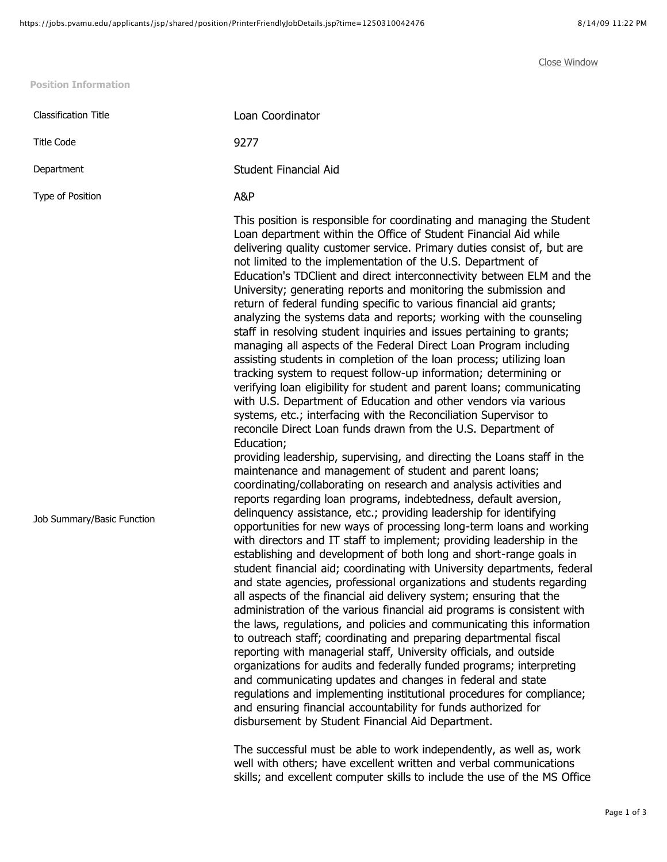**Position Information**

Classification Title Loan Coordinator Title Code 9277 Department Student Financial Aid Type of Position **A&P** Job Summary/Basic Function This position is responsible for coordinating and managing the Student Loan department within the Office of Student Financial Aid while delivering quality customer service. Primary duties consist of, but are not limited to the implementation of the U.S. Department of Education's TDClient and direct interconnectivity between ELM and the University; generating reports and monitoring the submission and return of federal funding specific to various financial aid grants; analyzing the systems data and reports; working with the counseling staff in resolving student inquiries and issues pertaining to grants; managing all aspects of the Federal Direct Loan Program including assisting students in completion of the loan process; utilizing loan tracking system to request follow-up information; determining or verifying loan eligibility for student and parent loans; communicating with U.S. Department of Education and other vendors via various systems, etc.; interfacing with the Reconciliation Supervisor to reconcile Direct Loan funds drawn from the U.S. Department of Education; providing leadership, supervising, and directing the Loans staff in the maintenance and management of student and parent loans; coordinating/collaborating on research and analysis activities and reports regarding loan programs, indebtedness, default aversion, delinquency assistance, etc.; providing leadership for identifying opportunities for new ways of processing long-term loans and working with directors and IT staff to implement; providing leadership in the establishing and development of both long and short-range goals in student financial aid; coordinating with University departments, federal and state agencies, professional organizations and students regarding all aspects of the financial aid delivery system; ensuring that the administration of the various financial aid programs is consistent with the laws, regulations, and policies and communicating this information to outreach staff; coordinating and preparing departmental fiscal reporting with managerial staff, University officials, and outside organizations for audits and federally funded programs; interpreting and communicating updates and changes in federal and state regulations and implementing institutional procedures for compliance;

> The successful must be able to work independently, as well as, work well with others; have excellent written and verbal communications skills; and excellent computer skills to include the use of the MS Office

and ensuring financial accountability for funds authorized for

disbursement by Student Financial Aid Department.

[Close Window](javascript:window.close())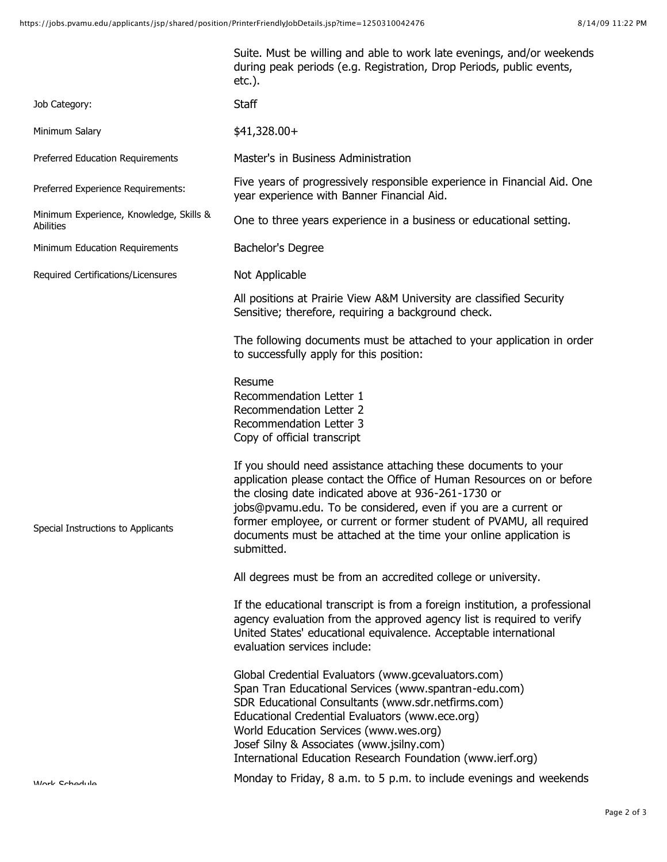|                                                      | Suite. Must be willing and able to work late evenings, and/or weekends<br>during peak periods (e.g. Registration, Drop Periods, public events,<br>$etc.$ ).                                                                                                                                                                                                                                                                  |
|------------------------------------------------------|------------------------------------------------------------------------------------------------------------------------------------------------------------------------------------------------------------------------------------------------------------------------------------------------------------------------------------------------------------------------------------------------------------------------------|
| Job Category:                                        | <b>Staff</b>                                                                                                                                                                                                                                                                                                                                                                                                                 |
| Minimum Salary                                       | $$41,328.00+$                                                                                                                                                                                                                                                                                                                                                                                                                |
| Preferred Education Requirements                     | Master's in Business Administration                                                                                                                                                                                                                                                                                                                                                                                          |
| Preferred Experience Requirements:                   | Five years of progressively responsible experience in Financial Aid. One<br>year experience with Banner Financial Aid.                                                                                                                                                                                                                                                                                                       |
| Minimum Experience, Knowledge, Skills &<br>Abilities | One to three years experience in a business or educational setting.                                                                                                                                                                                                                                                                                                                                                          |
| Minimum Education Requirements                       | Bachelor's Degree                                                                                                                                                                                                                                                                                                                                                                                                            |
| Required Certifications/Licensures                   | Not Applicable                                                                                                                                                                                                                                                                                                                                                                                                               |
|                                                      | All positions at Prairie View A&M University are classified Security<br>Sensitive; therefore, requiring a background check.                                                                                                                                                                                                                                                                                                  |
|                                                      | The following documents must be attached to your application in order<br>to successfully apply for this position:                                                                                                                                                                                                                                                                                                            |
|                                                      | Resume<br>Recommendation Letter 1<br>Recommendation Letter 2<br>Recommendation Letter 3<br>Copy of official transcript                                                                                                                                                                                                                                                                                                       |
| Special Instructions to Applicants                   | If you should need assistance attaching these documents to your<br>application please contact the Office of Human Resources on or before<br>the closing date indicated above at 936-261-1730 or<br>jobs@pvamu.edu. To be considered, even if you are a current or<br>former employee, or current or former student of PVAMU, all required<br>documents must be attached at the time your online application is<br>submitted. |
|                                                      | All degrees must be from an accredited college or university.                                                                                                                                                                                                                                                                                                                                                                |
|                                                      | If the educational transcript is from a foreign institution, a professional<br>agency evaluation from the approved agency list is required to verify<br>United States' educational equivalence. Acceptable international<br>evaluation services include:                                                                                                                                                                     |
|                                                      | Global Credential Evaluators (www.gcevaluators.com)<br>Span Tran Educational Services (www.spantran-edu.com)<br>SDR Educational Consultants (www.sdr.netfirms.com)<br>Educational Credential Evaluators (www.ece.org)<br>World Education Services (www.wes.org)<br>Josef Silny & Associates (www.jsilny.com)<br>International Education Research Foundation (www.ierf.org)                                                   |
| Mork Cohodulo                                        | Monday to Friday, 8 a.m. to 5 p.m. to include evenings and weekends                                                                                                                                                                                                                                                                                                                                                          |